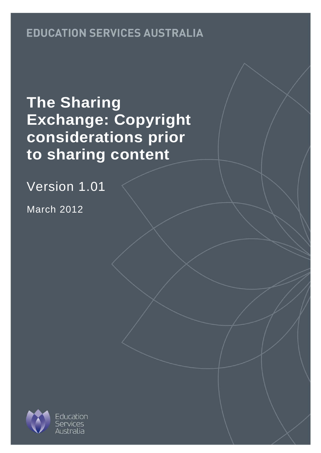# **EDUCATION SERVICES AUSTRALIA**

# **The Sharing Exchange: Copyright considerations prior to sharing content**

Version 1.01

March 2012

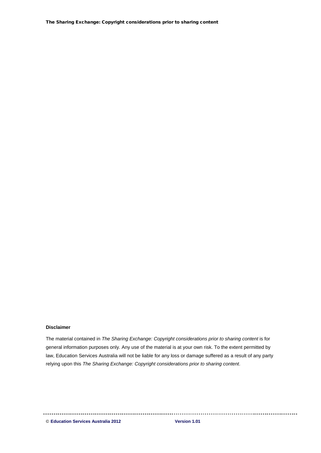The Sharing Exchange: Copyright considerations prior to sharing content

#### **Disclaimer**

The material contained in *The Sharing Exchange: Copyright considerations prior to sharing content* is for general information purposes only. Any use of the material is at your own risk. To the extent permitted by law, Education Services Australia will not be liable for any loss or damage suffered as a result of any party relying upon this *The Sharing Exchange: Copyright considerations prior to sharing content*.

© **Education Services Australia 2012 Version 1.01**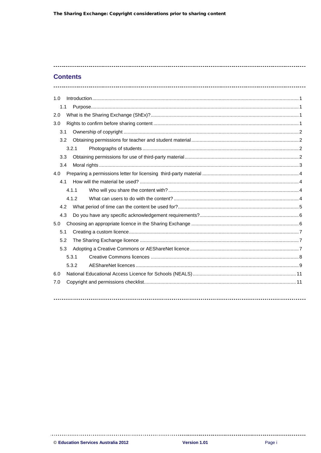### **Contents**

| 1.0 |       |  |
|-----|-------|--|
| 1.1 |       |  |
| 2.0 |       |  |
| 3.0 |       |  |
| 3.1 |       |  |
| 3.2 |       |  |
|     | 3.2.1 |  |
| 3.3 |       |  |
| 3.4 |       |  |
| 4.0 |       |  |
| 4.1 |       |  |
|     | 4.1.1 |  |
|     | 4.1.2 |  |
| 4.2 |       |  |
| 4.3 |       |  |
| 5.0 |       |  |
| 5.1 |       |  |
| 5.2 |       |  |
| 5.3 |       |  |
|     | 5.3.1 |  |
|     | 5.3.2 |  |
| 6.0 |       |  |
| 7.0 |       |  |
|     |       |  |
|     |       |  |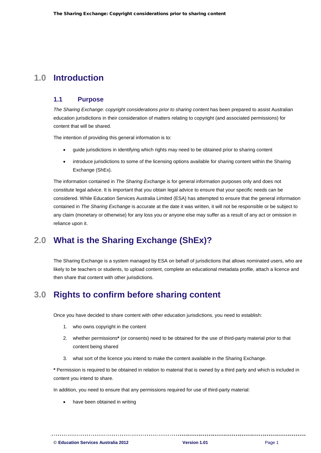# <span id="page-3-0"></span>**1.0 Introduction**

### <span id="page-3-1"></span>**1.1 Purpose**

*The Sharing Exchange: copyright considerations prior to sharing content* has been prepared to assist Australian education jurisdictions in their consideration of matters relating to copyright (and associated permissions) for content that will be shared.

The intention of providing this general information is to:

- guide jurisdictions in identifying which rights may need to be obtained prior to sharing content
- introduce jurisdictions to some of the licensing options available for sharing content within the Sharing Exchange (ShEx).

The information contained in *The Sharing Exchange* is for general information purposes only and does not constitute legal advice. It is important that you obtain legal advice to ensure that your specific needs can be considered. While Education Services Australia Limited (ESA) has attempted to ensure that the general information contained in *The Sharing Exchange* is accurate at the date it was written, it will not be responsible or be subject to any claim (monetary or otherwise) for any loss you or anyone else may suffer as a result of any act or omission in reliance upon it.

# <span id="page-3-2"></span>**2.0 What is the Sharing Exchange (ShEx)?**

The Sharing Exchange is a system managed by ESA on behalf of jurisdictions that allows nominated users, who are likely to be teachers or students, to upload content, complete an educational metadata profile, attach a licence and then share that content with other jurisdictions.

# <span id="page-3-3"></span>**3.0 Rights to confirm before sharing content**

Once you have decided to share content with other education jurisdictions, you need to establish:

- 1. who owns copyright in the content
- 2. whether permissions**\*** (or consents) need to be obtained for the use of third-party material prior to that content being shared
- 3. what sort of the licence you intend to make the content available in the Sharing Exchange.

**\*** Permission is required to be obtained in relation to material that is owned by a third party and which is included in content you intend to share.

In addition, you need to ensure that any permissions required for use of third-party material:

have been obtained in writing

© **Education Services Australia 2012 Version 1.01** Page 1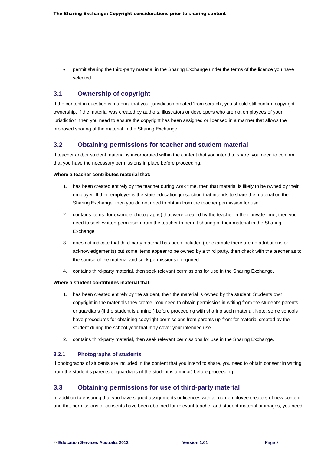• permit sharing the third-party material in the Sharing Exchange under the terms of the licence you have selected.

# <span id="page-4-0"></span>**3.1 Ownership of copyright**

If the content in question is material that your jurisdiction created 'from scratch', you should still confirm copyright ownership. If the material was created by authors, illustrators or developers who are not employees of your jurisdiction, then you need to ensure the copyright has been assigned or licensed in a manner that allows the proposed sharing of the material in the Sharing Exchange.

### <span id="page-4-1"></span>**3.2 Obtaining permissions for teacher and student material**

If teacher and/or student material is incorporated within the content that you intend to share, you need to confirm that you have the necessary permissions in place before proceeding.

#### **Where a teacher contributes material that:**

- 1. has been created entirely by the teacher during work time, then that material is likely to be owned by their employer. If their employer is the state education jurisdiction that intends to share the material on the Sharing Exchange, then you do not need to obtain from the teacher permission for use
- 2. contains items (for example photographs) that were created by the teacher in their private time, then you need to seek written permission from the teacher to permit sharing of their material in the Sharing Exchange
- 3. does not indicate that third-party material has been included (for example there are no attributions or acknowledgements) but some items appear to be owned by a third party, then check with the teacher as to the source of the material and seek permissions if required
- 4. contains third-party material, then seek relevant permissions for use in the Sharing Exchange.

#### **Where a student contributes material that:**

- 1. has been created entirely by the student, then the material is owned by the student. Students own copyright in the materials they create. You need to obtain permission in writing from the student's parents or guardians (if the student is a minor) before proceeding with sharing such material. Note: some schools have procedures for obtaining copyright permissions from parents up-front for material created by the student during the school year that may cover your intended use
- 2. contains third-party material, then seek relevant permissions for use in the Sharing Exchange.

#### <span id="page-4-2"></span>**3.2.1 Photographs of students**

If photographs of students are included in the content that you intend to share, you need to obtain consent in writing from the student's parents or guardians (if the student is a minor) before proceeding.

# <span id="page-4-3"></span>**3.3 Obtaining permissions for use of third-party material**

In addition to ensuring that you have signed assignments or licences with all non-employee creators of new content and that permissions or consents have been obtained for relevant teacher and student material or images, you need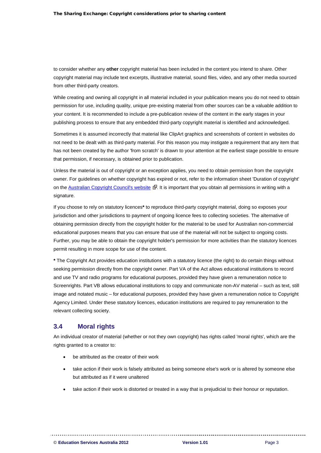to consider whether any **other** copyright material has been included in the content you intend to share. Other copyright material may include text excerpts, illustrative material, sound files, video, and any other media sourced from other third-party creators.

While creating and owning all copyright in all material included in your publication means you do not need to obtain permission for use, including quality, unique pre-existing material from other sources can be a valuable addition to your content. It is recommended to include a pre-publication review of the content in the early stages in your publishing process to ensure that any embedded third-party copyright material is identified and acknowledged.

Sometimes it is assumed incorrectly that material like ClipArt graphics and screenshots of content in websites do not need to be dealt with as third-party material. For this reason you may instigate a requirement that any item that has not been created by the author 'from scratch' is drawn to your attention at the earliest stage possible to ensure that permission, if necessary, is obtained prior to publication.

Unless the material is out of copyright or an exception applies, you need to obtain permission from the copyright owner. For guidelines on whether copyright has expired or not, refer to the information sheet 'Duration of copyright' on the [Australian Copyright Council's website](http://www.copyright.org.au/)  $\mathbb{R}$ . It is important that you obtain all permissions in writing with a signature.

If you choose to rely on statutory licences**\*** to reproduce third-party copyright material, doing so exposes your jurisdiction and other jurisdictions to payment of ongoing licence fees to collecting societies. The alternative of obtaining permission directly from the copyright holder for the material to be used for Australian non-commercial educational purposes means that you can ensure that use of the material will not be subject to ongoing costs. Further, you may be able to obtain the copyright holder's permission for more activities than the statutory licences permit resulting in more scope for use of the content.

**\*** The Copyright Act provides education institutions with a statutory licence (the right) to do certain things without seeking permission directly from the copyright owner. Part VA of the Act allows educational institutions to record and use TV and radio programs for educational purposes, provided they have given a remuneration notice to Screenrights. Part VB allows educational institutions to copy and communicate non-AV material – such as text, still image and notated music – for educational purposes, provided they have given a remuneration notice to Copyright Agency Limited. Under these statutory licences, education institutions are required to pay remunerat ion to the relevant collecting society.

### <span id="page-5-0"></span>**3.4 Moral rights**

An individual creator of material (whether or not they own copyright) has rights called 'moral rights', which are the rights granted to a creator to:

be attributed as the creator of their work

- take action if their work is falsely attributed as being someone else's work or is altered by someone else but attributed as if it were unaltered
- take action if their work is distorted or treated in a way that is prejudicial to their honour or reputation.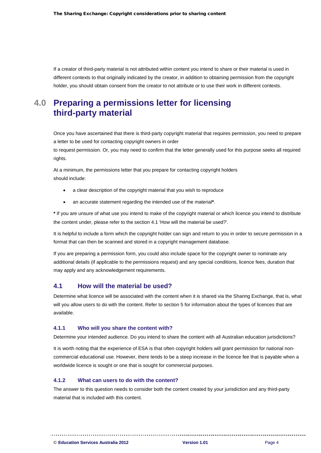If a creator of third-party material is not attributed within content you intend to share or their material is used in different contexts to that originally indicated by the creator, in addition to obtaining permission from the copyright holder, you should obtain consent from the creator to not attribute or to use their work in different contexts.

# <span id="page-6-0"></span>**4.0 Preparing a permissions letter for licensing third-party material**

Once you have ascertained that there is third-party copyright material that requires permission, you need to prepare a letter to be used for contacting copyright owners in order

to request permission. Or, you may need to confirm that the letter generally used for this purpose seeks all required rights.

At a minimum, the permissions letter that you prepare for contacting copyright holders should include:

- a clear description of the copyright material that you wish to reproduce
- an accurate statement regarding the intended use of the material**\***.

**\*** If you are unsure of what use you intend to make of the copyright material or which licence you intend to distribute the content under, please refer to the section 4.1 'How will the material be used?'.

It is helpful to include a form which the copyright holder can sign and return to you in order to secure permission in a format that can then be scanned and stored in a copyright management database.

If you are preparing a permission form, you could also include space for the copyright owner to nominate any additional details (if applicable to the permissions request) and any special conditions, licence fees, duration that may apply and any acknowledgement requirements.

# <span id="page-6-1"></span>**4.1 How will the material be used?**

Determine what licence will be associated with the content when it is shared via the Sharing Exchange, that is, what will you allow users to do with the content. Refer to section 5 for information about the types of licences that are available.

#### <span id="page-6-2"></span>**4.1.1 Who will you share the content with?**

Determine your intended audience. Do you intend to share the content with all Australian education jurisdictions?

It is worth noting that the experience of ESA is that often copyright holders will grant permission for national noncommercial educational use. However, there tends to be a steep increase in the licence fee that is payable when a worldwide licence is sought or one that is sought for commercial purposes.

#### <span id="page-6-3"></span>**4.1.2 What can users to do with the content?**

The answer to this question needs to consider both the content created by your jurisdiction and any third-party material that is included with this content.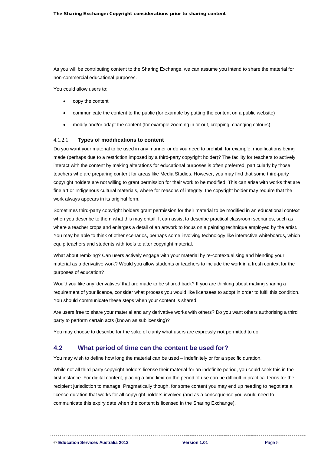As you will be contributing content to the Sharing Exchange, we can assume you intend to share the material for non-commercial educational purposes.

You could allow users to:

- copy the content
- communicate the content to the public (for example by putting the content on a public website)
- modify and/or adapt the content (for example zooming in or out, cropping, changing colours).

#### 4.1.2.1 **Types of modifications to content**

Do you want your material to be used in any manner or do you need to prohibit, for example, modifications being made (perhaps due to a restriction imposed by a third-party copyright holder)? The facility for teachers to actively interact with the content by making alterations for educational purposes is often preferred, particularly by those teachers who are preparing content for areas like Media Studies. However, you may find that some third-party copyright holders are not willing to grant permission for their work to be modified. This can arise with works that are fine art or Indigenous cultural materials, where for reasons of integrity, the copyright holder may require that the work always appears in its original form.

Sometimes third-party copyright holders grant permission for their material to be modified in an educational context when you describe to them what this may entail. It can assist to describe practical classroom scenarios, such as where a teacher crops and enlarges a detail of an artwork to focus on a painting technique employed by the artist. You may be able to think of other scenarios, perhaps some involving technology like interactive whiteboards, which equip teachers and students with tools to alter copyright material.

What about remixing? Can users actively engage with your material by re-contextualising and blending your material as a derivative work? Would you allow students or teachers to include the work in a fresh context for the purposes of education?

Would you like any 'derivatives' that are made to be shared back? If you are thinking about making sharing a requirement of your licence, consider what process you would like licensees to adopt in order to fulfil this condition. You should communicate these steps when your content is shared.

Are users free to share your material and any derivative works with others? Do you want others authorising a third party to perform certain acts (known as sublicensing)?

You may choose to describe for the sake of clarity what users are expressly **not** permitted to do.

### <span id="page-7-0"></span>**4.2 What period of time can the content be used for?**

You may wish to define how long the material can be used – indefinitely or for a specific duration.

While not all third-party copyright holders license their material for an indefinite period, you could seek this in the first instance. For digital content, placing a time limit on the period of use can be difficult in practical terms for the recipient jurisdiction to manage. Pragmatically though, for some content you may end up needing to negotiate a licence duration that works for all copyright holders involved (and as a consequence you would need to communicate this expiry date when the content is licensed in the Sharing Exchange).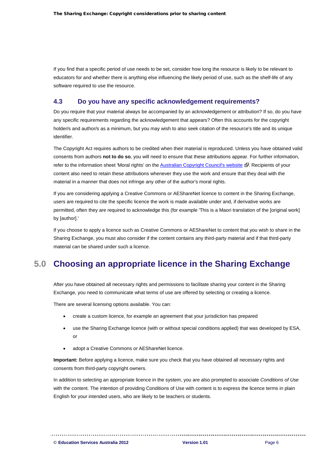If you find that a specific period of use needs to be set, consider how long the resource is likely to be relevant to educators for and whether there is anything else influencing the likely period of use, such as the shelf-life of any software required to use the resource.

# <span id="page-8-0"></span>**4.3 Do you have any specific acknowledgement requirements?**

Do you require that your material always be accompanied by an acknowledgement or attribution? If so, do you have any specific requirements regarding the acknowledgement that appears? Often this accounts for the copyright holder/s and author/s as a minimum, but you may wish to also seek citation of the resource's title and its unique identifier.

The Copyright Act requires authors to be credited when their material is reproduced. Unless you have obtained valid consents from authors **not to do so**, you will need to ensure that these attributions appear. For further information, refer to the information sheet 'Moral rights' on the [Australian Copyright Council's website](http://www.copyright.org.au/) E. Recipients of your content also need to retain these attributions whenever they use the work and ensure that they deal with the material in a manner that does not infringe any other of the author's moral rights.

If you are considering applying a Creative Commons or AEShareNet licence to content in the Sharing Exchange, users are required to cite the specific licence the work is made available under and, if derivative works are permitted, often they are required to acknowledge this (for example 'This is a Maori translation of the [original work] by [author].'

If you choose to apply a licence such as Creative Commons or AEShareNet to content that you wish to share in the Sharing Exchange, you must also consider if the content contains any third-party material and if that third-party material can be shared under such a licence.

# <span id="page-8-1"></span>**5.0 Choosing an appropriate licence in the Sharing Exchange**

After you have obtained all necessary rights and permissions to facilitate sharing your content in the Sharing Exchange, you need to communicate what terms of use are offered by selecting or creating a licence.

There are several licensing options available. You can:

- create a custom licence, for example an agreement that your jurisdiction has prepared
- use the Sharing Exchange licence (with or without special conditions applied) that was developed by ESA, or
- adopt a Creative Commons or AEShareNet licence.

**Important:** Before applying a licence, make sure you check that you have obtained all necessary rights and consents from third-party copyright owners.

In addition to selecting an appropriate licence in the system, you are also prompted to associate *Conditions of Use*  with the content. The intention of providing Conditions of Use with content is to express the licence terms in plain English for your intended users, who are likely to be teachers or students.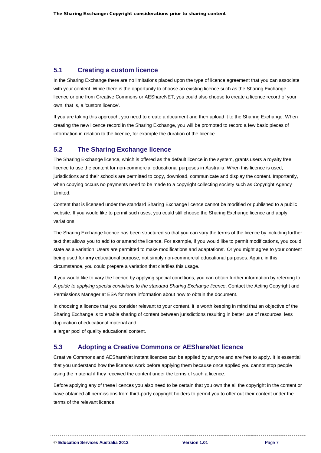# <span id="page-9-0"></span>**5.1 Creating a custom licence**

In the Sharing Exchange there are no limitations placed upon the type of licence agreement that you can associate with your content. While there is the opportunity to choose an existing licence such as the Sharing Exchange licence or one from Creative Commons or AEShareNET, you could also choose to create a licence record of your own, that is, a 'custom licence'.

If you are taking this approach, you need to create a document and then upload it to the Sharing Exchange. When creating the new licence record in the Sharing Exchange, you will be prompted to record a few basic pieces of information in relation to the licence, for example the duration of the licence.

# <span id="page-9-1"></span>**5.2 The Sharing Exchange licence**

The Sharing Exchange licence, which is offered as the default licence in the system, grants users a royalty free licence to use the content for non-commercial educational purposes in Australia. When this licence is used, jurisdictions and their schools are permitted to copy, download, communicate and display the content. Importantly, when copying occurs no payments need to be made to a copyright collecting society such as Copyright Agency Limited.

Content that is licensed under the standard Sharing Exchange licence cannot be modified or published to a public website. If you would like to permit such uses, you could still choose the Sharing Exchange licence and apply variations.

The Sharing Exchange licence has been structured so that you can vary the terms of the licence by including further text that allows you to add to or amend the licence. For example, if you would like to permit modifications, you could state as a variation 'Users are permitted to make modifications and adaptations'. Or you might agree to your content being used for **any** educational purpose, not simply non-commercial educational purposes. Again, in this circumstance, you could prepare a variation that clarifies this usage.

If you would like to vary the licence by applying special conditions, you can obtain further information by referring to *A guide to applying special conditions to the standard Sharing Exchange licence*. Contact the Acting Copyright and Permissions Manager at ESA for more information about how to obtain the document.

In choosing a licence that you consider relevant to your content, it is worth keeping in mind that an objective of the Sharing Exchange is to enable sharing of content between jurisdictions resulting in better use of resources, less duplication of educational material and

a larger pool of quality educational content.

# <span id="page-9-2"></span>**5.3 Adopting a Creative Commons or AEShareNet licence**

Creative Commons and AEShareNet instant licences can be applied by anyone and are free to apply. It is essential that you understand how the licences work before applying them because once applied you cannot stop people using the material if they received the content under the terms of such a licence.

Before applying any of these licences you also need to be certain that you own the all the copyright in the content or have obtained all permissions from third-party copyright holders to permit you to offer out their content under the terms of the relevant licence.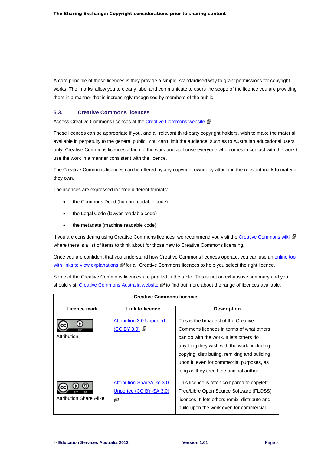A core principle of these licences is they provide a simple, standardised way to grant permissions for copyright works. The 'marks' allow you to clearly label and communicate to users the scope of the licence you are providing them in a manner that is increasingly recognised by members of the public.

#### <span id="page-10-0"></span>**5.3.1 Creative Commons licences**

Access Creative Commons licences at the [Creative Commons website](http://creativecommons.org/license) &.

These licences can be appropriate if you, and all relevant third-party copyright holders, wish to make the material available in perpetuity to the general public. You can't limit the audience, such as to Australian educational users only. Creative Commons licences attach to the work and authorise everyone who comes in contact with the work to use the work in a manner consistent with the licence.

The Creative Commons licences can be offered by any copyright owner by attaching the relevant mark to material they own.

The licences are expressed in three different formats:

- the Commons Deed (human-readable code)
- the Legal Code (lawyer-readable code)
- the metadata (machine readable code).

If you are considering using Creative Commons licences, we recommend you visit the [Creative Commons wiki](http://wiki.creativecommons.org/Before_Licensing) & where there is a list of items to think about for those new to Creative Commons licensing.

Once you are confident that you understand how Creative Commons licences operate, you can use an [online tool](http://creativecommons.org/choose)  [with links to view explanations](http://creativecommons.org/choose)  $\mathbb{F}$  for all Creative Commons licences to help you select the right licence.

Some of the Creative Commons licences are profiled in the table. This is not an exhaustive summary and you should visit [Creative Commons Australia website](http://creativecommons.org.au/) to find out more about the range of licences available.

| <b>Creative Commons licences</b>     |                                                                    |                                                                                                                                                                                                                                                                                                                     |  |  |  |  |  |
|--------------------------------------|--------------------------------------------------------------------|---------------------------------------------------------------------------------------------------------------------------------------------------------------------------------------------------------------------------------------------------------------------------------------------------------------------|--|--|--|--|--|
| Licence mark                         | <b>Link to licence</b>                                             | <b>Description</b>                                                                                                                                                                                                                                                                                                  |  |  |  |  |  |
| Attribution                          | <b>Attribution 3.0 Unported</b><br>(CC BY 3.0) F                   | This is the broadest of the Creative<br>Commons licences in terms of what others<br>can do with the work. It lets others do<br>anything they wish with the work, including<br>copying, distributing, remixing and building<br>upon it, even for commercial purposes, as<br>long as they credit the original author. |  |  |  |  |  |
| SA<br><b>Attribution Share Alike</b> | <b>Attribution-ShareAlike 3.0</b><br>Unported (CC BY-SA 3.0)<br>Ř. | This licence is often compared to copyleft<br>Free/Libre Open Source Software (FLOSS)<br>licences. It lets others remix, distribute and<br>build upon the work even for commercial                                                                                                                                  |  |  |  |  |  |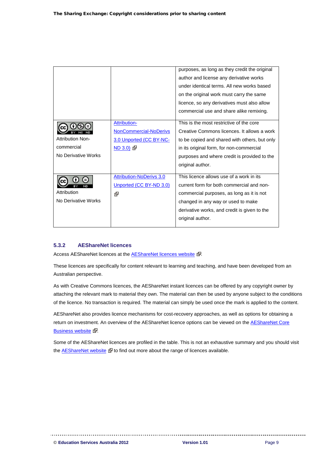|                         |                                 | purposes, as long as they credit the original |
|-------------------------|---------------------------------|-----------------------------------------------|
|                         |                                 | author and license any derivative works       |
|                         |                                 | under identical terms. All new works based    |
|                         |                                 | on the original work must carry the same      |
|                         |                                 | licence, so any derivatives must also allow   |
|                         |                                 | commercial use and share alike remixing.      |
|                         | <b>Attribution-</b>             | This is the most restrictive of the core      |
|                         | <b>NonCommercial-NoDerivs</b>   | Creative Commons licences. It allows a work   |
| <b>Attribution Non-</b> | 3.0 Unported (CC BY-NC-         | to be copied and shared with others, but only |
| commercial              | ND 3.0                          | in its original form, for non-commercial      |
| No Derivative Works     |                                 | purposes and where credit is provided to the  |
|                         |                                 | original author.                              |
|                         |                                 |                                               |
|                         | <b>Attribution-NoDerivs 3.0</b> | This licence allows use of a work in its      |
| ND                      | Unported (CC BY-ND 3.0)         | current form for both commercial and non-     |
| Attribution             | र्दैन                           | commercial purposes, as long as it is not     |
| No Derivative Works     |                                 | changed in any way or used to make            |
|                         |                                 | derivative works, and credit is given to the  |
|                         |                                 | original author.                              |
|                         |                                 |                                               |

### <span id="page-11-0"></span>**5.3.2 AEShareNet licences**

Access AEShareNet licences at the **AEShareNet licences website** &.

These licences are specifically for content relevant to learning and teaching, and have been developed from an Australian perspective.

As with Creative Commons licences, the AEShareNet instant licences can be offered by any copyright owner by attaching the relevant mark to material they own. The material can then be used by anyone subject to the conditions of the licence. No transaction is required. The material can simply be used once the mark is applied to the content.

AEShareNet also provides licence mechanisms for cost-recovery approaches, as well as options for obtaining a return on investment. An overview of the AEShareNet licence options can be viewed on the **AEShareNet Core** [Business website](http://www.aesharenet.com.au/CoreBusiness) &.

Some of the AEShareNet licences are profiled in the table. This is not an exhaustive summary and you should visit the [AEShareNet website](http://www.aesharenet.com.au/)  $\mathbb{F}$  to find out more about the range of licences available.

--------------------------------------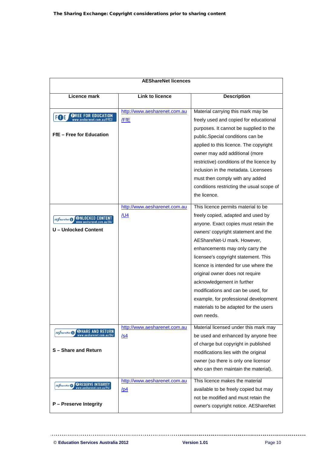| <b>AEShareNet licences</b>                                                                         |                                            |                                                                                                                                                                                                                                                                                                                                                                                                                                                                                                                    |  |  |
|----------------------------------------------------------------------------------------------------|--------------------------------------------|--------------------------------------------------------------------------------------------------------------------------------------------------------------------------------------------------------------------------------------------------------------------------------------------------------------------------------------------------------------------------------------------------------------------------------------------------------------------------------------------------------------------|--|--|
| Licence mark                                                                                       | <b>Link to licence</b>                     | <b>Description</b>                                                                                                                                                                                                                                                                                                                                                                                                                                                                                                 |  |  |
| <b>OREE FOR EDUCATION</b><br>www.aesharenet.com.au/FfE2/<br><b>FOE</b><br>FfE - Free for Education | http://www.aesharenet.com.au<br>/FfE       | Material carrying this mark may be<br>freely used and copied for educational<br>purposes. It cannot be supplied to the<br>public.Special conditions can be<br>applied to this licence. The copyright<br>owner may add additional (more<br>restrictive) conditions of the licence by<br>inclusion in the metadata. Licensees<br>must then comply with any added<br>conditions restricting the usual scope of<br>the licence.                                                                                        |  |  |
| AE hareNet <b>□</b><br>U - Unlocked Content                                                        | http://www.aesharenet.com.au<br><u>/U4</u> | This licence permits material to be<br>freely copied, adapted and used by<br>anyone. Exact copies must retain the<br>owners' copyright statement and the<br>AEShareNet-U mark. However,<br>enhancements may only carry the<br>licensee's copyright statement. This<br>licence is intended for use where the<br>original owner does not require<br>acknowledgement in further<br>modifications and can be used, for<br>example, for professional development<br>materials to be adapted for the users<br>own needs. |  |  |
| WHARE AND RETURN<br><b>AE<i>hareNet</i> S</b><br>S - Share and Return                              | http://www.aesharenet.com.au<br><u>/s4</u> | Material licensed under this mark may<br>be used and enhanced by anyone free<br>of charge but copyright in published<br>modifications lies with the original<br>owner (so there is only one licensor<br>who can then maintain the material).                                                                                                                                                                                                                                                                       |  |  |
| AE ShareNet <b>PRESERVE INTEGRITY</b><br>P - Preserve Integrity                                    | http://www.aesharenet.com.au<br>/pd        | This licence makes the material<br>available to be freely copied but may<br>not be modified and must retain the<br>owner's copyright notice. AEShareNet                                                                                                                                                                                                                                                                                                                                                            |  |  |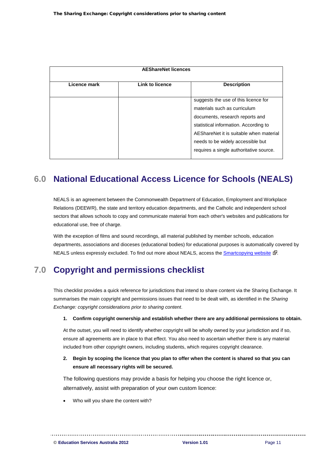| <b>AEShareNet licences</b> |                 |                                         |  |  |  |  |
|----------------------------|-----------------|-----------------------------------------|--|--|--|--|
| Licence mark               | Link to licence | <b>Description</b>                      |  |  |  |  |
|                            |                 | suggests the use of this licence for    |  |  |  |  |
|                            |                 | materials such as curriculum            |  |  |  |  |
|                            |                 | documents, research reports and         |  |  |  |  |
|                            |                 | statistical information. According to   |  |  |  |  |
|                            |                 | AEShareNet it is suitable when material |  |  |  |  |
|                            |                 | needs to be widely accessible but       |  |  |  |  |
|                            |                 | requires a single authoritative source. |  |  |  |  |
|                            |                 |                                         |  |  |  |  |

# <span id="page-13-0"></span>**6.0 National Educational Access Licence for Schools ( NEALS)**

NEALS is an agreement between the Commonwealth Department of Education, Employment and Workplace Relations (DEEWR), the state and territory education departments, and the Catholic and independent school sectors that allows schools to copy and communicate material from each other's websites and publications for educational use, free of charge.

With the exception of films and sound recordings, all material published by member schools, education departments, associations and dioceses (educational bodies) for educational purposes is automatically covered by NEALS unless expressly excluded. To find out more about NEALS, access the **Smartcopying website &**.

#### <span id="page-13-1"></span>**7.0 Copyright and permissions checklist**

This checklist provides a quick reference for jurisdictions that intend to share content via the Sharing Exchange. It summarises the main copyright and permissions issues that need to be dealt with, as identified in the *Sharing Exchange: copyright considerations prior to sharing content*.

#### **1. Confirm copyright ownership and establish whether there are any additional permissions to obtain.**

At the outset, you will need to identify whether copyright will be wholly owned by your jurisdiction and if so, ensure all agreements are in place to that effect. You also need to ascertain whether there is any material included from other copyright owners, including students, which requires copyright clearance.

**2. Begin by scoping the licence that you plan to offer when the content is shared so that you can ensure all necessary rights will be secured.**

The following questions may provide a basis for helping you choose the right licence or, alternatively, assist with preparation of your own custom licence:

• Who will you share the content with?

© **Education Services Australia 2012 Version 1.01** Page 11